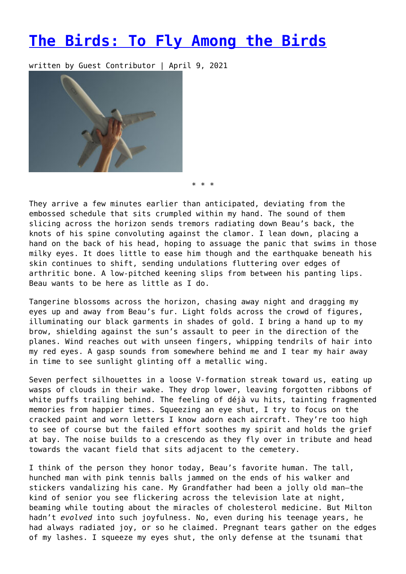## **[The Birds: To Fly Among the Birds](https://entropymag.org/the-birds-to-fly-among-the-birds/)**

written by Guest Contributor | April 9, 2021



\* \* \*

They arrive a few minutes earlier than anticipated, deviating from the embossed schedule that sits crumpled within my hand. The sound of them slicing across the horizon sends tremors radiating down Beau's back, the knots of his spine convoluting against the clamor. I lean down, placing a hand on the back of his head, hoping to assuage the panic that swims in those milky eyes. It does little to ease him though and the earthquake beneath his skin continues to shift, sending undulations fluttering over edges of arthritic bone. A low-pitched keening slips from between his panting lips. Beau wants to be here as little as I do.

Tangerine blossoms across the horizon, chasing away night and dragging my eyes up and away from Beau's fur. Light folds across the crowd of figures, illuminating our black garments in shades of gold. I bring a hand up to my brow, shielding against the sun's assault to peer in the direction of the planes. Wind reaches out with unseen fingers, whipping tendrils of hair into my red eyes. A gasp sounds from somewhere behind me and I tear my hair away in time to see sunlight glinting off a metallic wing.

Seven perfect silhouettes in a loose V-formation streak toward us, eating up wasps of clouds in their wake. They drop lower, leaving forgotten ribbons of white puffs trailing behind. The feeling of déjà vu hits, tainting fragmented memories from happier times. Squeezing an eye shut, I try to focus on the cracked paint and worn letters I know adorn each aircraft. They're too high to see of course but the failed effort soothes my spirit and holds the grief at bay. The noise builds to a crescendo as they fly over in tribute and head towards the vacant field that sits adjacent to the cemetery.

I think of the person they honor today, Beau's favorite human. The tall, hunched man with pink tennis balls jammed on the ends of his walker and stickers vandalizing his cane. My Grandfather had been a jolly old man—the kind of senior you see flickering across the television late at night, beaming while touting about the miracles of cholesterol medicine. But Milton hadn't *evolved* into such joyfulness. No, even during his teenage years, he had always radiated joy, or so he claimed. Pregnant tears gather on the edges of my lashes. I squeeze my eyes shut, the only defense at the tsunami that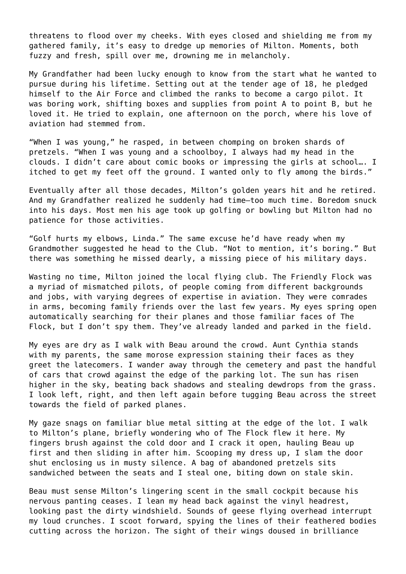threatens to flood over my cheeks. With eyes closed and shielding me from my gathered family, it's easy to dredge up memories of Milton. Moments, both fuzzy and fresh, spill over me, drowning me in melancholy.

My Grandfather had been lucky enough to know from the start what he wanted to pursue during his lifetime. Setting out at the tender age of 18, he pledged himself to the Air Force and climbed the ranks to become a cargo pilot. It was boring work, shifting boxes and supplies from point A to point B, but he loved it. He tried to explain, one afternoon on the porch, where his love of aviation had stemmed from.

"When I was young," he rasped, in between chomping on broken shards of pretzels. "When I was young and a schoolboy, I always had my head in the clouds. I didn't care about comic books or impressing the girls at school…. I itched to get my feet off the ground. I wanted only to fly among the birds."

Eventually after all those decades, Milton's golden years hit and he retired. And my Grandfather realized he suddenly had time—too much time. Boredom snuck into his days. Most men his age took up golfing or bowling but Milton had no patience for those activities.

"Golf hurts my elbows, Linda." The same excuse he'd have ready when my Grandmother suggested he head to the Club. "Not to mention, it's boring." But there was something he missed dearly, a missing piece of his military days.

Wasting no time, Milton joined the local flying club. The Friendly Flock was a myriad of mismatched pilots, of people coming from different backgrounds and jobs, with varying degrees of expertise in aviation. They were comrades in arms, becoming family friends over the last few years. My eyes spring open automatically searching for their planes and those familiar faces of The Flock, but I don't spy them. They've already landed and parked in the field.

My eyes are dry as I walk with Beau around the crowd. Aunt Cynthia stands with my parents, the same morose expression staining their faces as they greet the latecomers. I wander away through the cemetery and past the handful of cars that crowd against the edge of the parking lot. The sun has risen higher in the sky, beating back shadows and stealing dewdrops from the grass. I look left, right, and then left again before tugging Beau across the street towards the field of parked planes.

My gaze snags on familiar blue metal sitting at the edge of the lot. I walk to Milton's plane, briefly wondering who of The Flock flew it here. My fingers brush against the cold door and I crack it open, hauling Beau up first and then sliding in after him. Scooping my dress up, I slam the door shut enclosing us in musty silence. A bag of abandoned pretzels sits sandwiched between the seats and I steal one, biting down on stale skin.

Beau must sense Milton's lingering scent in the small cockpit because his nervous panting ceases. I lean my head back against the vinyl headrest, looking past the dirty windshield. Sounds of geese flying overhead interrupt my loud crunches. I scoot forward, spying the lines of their feathered bodies cutting across the horizon. The sight of their wings doused in brilliance